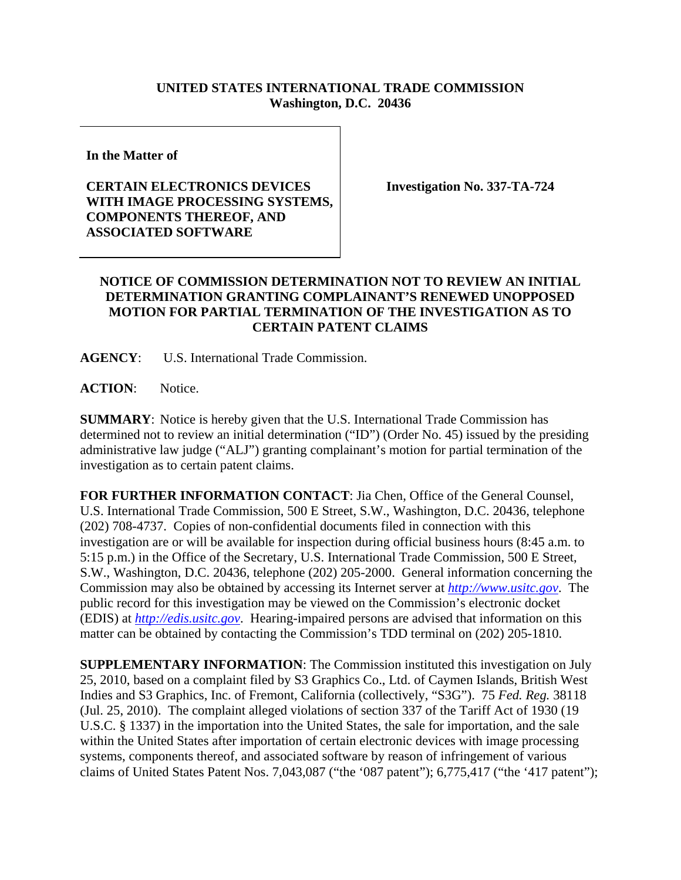## **UNITED STATES INTERNATIONAL TRADE COMMISSION Washington, D.C. 20436**

**In the Matter of** 

## **CERTAIN ELECTRONICS DEVICES WITH IMAGE PROCESSING SYSTEMS, COMPONENTS THEREOF, AND ASSOCIATED SOFTWARE**

**Investigation No. 337-TA-724** 

## **NOTICE OF COMMISSION DETERMINATION NOT TO REVIEW AN INITIAL DETERMINATION GRANTING COMPLAINANT'S RENEWED UNOPPOSED MOTION FOR PARTIAL TERMINATION OF THE INVESTIGATION AS TO CERTAIN PATENT CLAIMS**

**AGENCY**: U.S. International Trade Commission.

ACTION: Notice.

**SUMMARY**: Notice is hereby given that the U.S. International Trade Commission has determined not to review an initial determination ("ID") (Order No. 45) issued by the presiding administrative law judge ("ALJ") granting complainant's motion for partial termination of the investigation as to certain patent claims.

**FOR FURTHER INFORMATION CONTACT**: Jia Chen, Office of the General Counsel, U.S. International Trade Commission, 500 E Street, S.W., Washington, D.C. 20436, telephone (202) 708-4737. Copies of non-confidential documents filed in connection with this investigation are or will be available for inspection during official business hours (8:45 a.m. to 5:15 p.m.) in the Office of the Secretary, U.S. International Trade Commission, 500 E Street, S.W., Washington, D.C. 20436, telephone (202) 205-2000. General information concerning the Commission may also be obtained by accessing its Internet server at *http://www.usitc.gov*. The public record for this investigation may be viewed on the Commission's electronic docket (EDIS) at *http://edis.usitc.gov*. Hearing-impaired persons are advised that information on this matter can be obtained by contacting the Commission's TDD terminal on (202) 205-1810.

**SUPPLEMENTARY INFORMATION**: The Commission instituted this investigation on July 25, 2010, based on a complaint filed by S3 Graphics Co., Ltd. of Caymen Islands, British West Indies and S3 Graphics, Inc. of Fremont, California (collectively, "S3G"). 75 *Fed. Reg.* 38118 (Jul. 25, 2010). The complaint alleged violations of section 337 of the Tariff Act of 1930 (19 U.S.C. § 1337) in the importation into the United States, the sale for importation, and the sale within the United States after importation of certain electronic devices with image processing systems, components thereof, and associated software by reason of infringement of various claims of United States Patent Nos. 7,043,087 ("the '087 patent"); 6,775,417 ("the '417 patent");